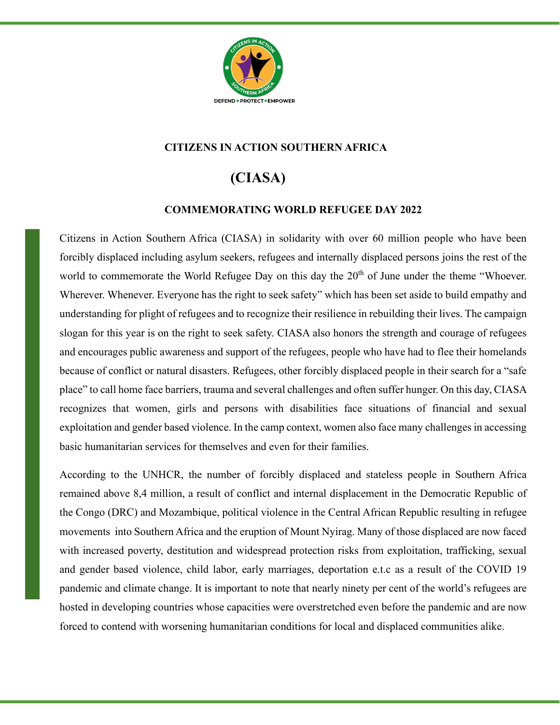

## **CITIZENS IN ACTION SOUTHERN AFRICA**

## **(CIASA)**

## **COMMEMORATING WORLD REFUGEE DAY 2022**

Citizens in Action Southern Africa (CIASA) in solidarity with over 60 million people who have been forcibly displaced including asylum seekers, refugees and internally displaced persons joins the rest of the world to commemorate the World Refugee Day on this day the 20<sup>th</sup> of June under the theme "Whoever. Wherever. Whenever. Everyone has the right to seek safety" which has been set aside to build empathy and understanding for plight of refugees and to recognize their resilience in rebuilding their lives. The campaign slogan for this year is on the right to seek safety. CIASA also honors the strength and courage of refugees and encourages public awareness and support of the refugees, people who have had to flee their homelands because of conflict or natural disasters. Refugees, other forcibly displaced people in their search for a "safe place" to call home face barriers, trauma and several challenges and often suffer hunger. On this day, CIASA recognizes that women, girls and persons with disabilities face situations of financial and sexual exploitation and gender based violence. In the camp context, women also face many challenges in accessing basic humanitarian services for themselves and even for their families.

According to the UNHCR, the number of forcibly displaced and stateless people in Southern Africa remained above 8,4 million, a result of conflict and internal displacement in the Democratic Republic of the Congo (DRC) and Mozambique, political violence in the Central African Republic resulting in refugee movements into Southern Africa and the eruption of Mount Nyirag. Many of those displaced are now faced with increased poverty, destitution and widespread protection risks from exploitation, trafficking, sexual and gender based violence, child labor, early marriages, deportation e.t.c as a result of the COVID 19 pandemic and climate change. It is important to note that nearly ninety per cent of the world's refugees are hosted in developing countries whose capacities were overstretched even before the pandemic and are now forced to contend with worsening humanitarian conditions for local and displaced communities alike.